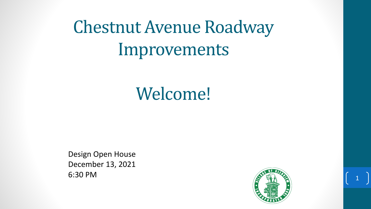# Chestnut Avenue Roadway Improvements

## Welcome!

Design Open House December 13, 2021 6:30 PM

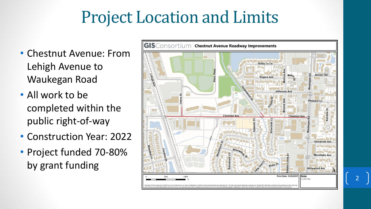### Project Location and Limits

- Chestnut Avenue: From Lehigh Avenue to Waukegan Road
- All work to be completed within the public right-of-way
- Construction Year: 2022
- Project funded 70-80% by grant funding

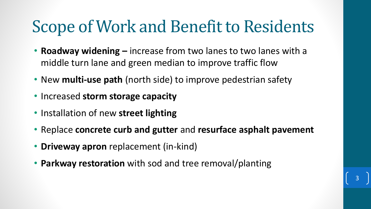## Scope of Work and Benefit to Residents

- **Roadway widening –** increase from two lanes to two lanes with a middle turn lane and green median to improve traffic flow
- New **multi-use path** (north side) to improve pedestrian safety
- Increased **storm storage capacity**
- Installation of new **street lighting**
- Replace **concrete curb and gutter** and **resurface asphalt pavement**
- **Driveway apron** replacement (in-kind)
- **Parkway restoration** with sod and tree removal/planting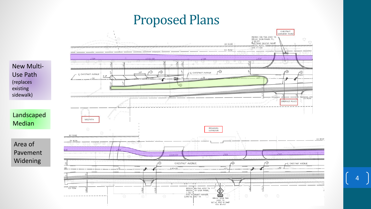### Proposed Plans



Landscaped Median

Area of Pavement Widening

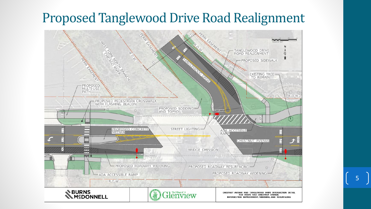### Proposed Tanglewood Drive Road Realignment

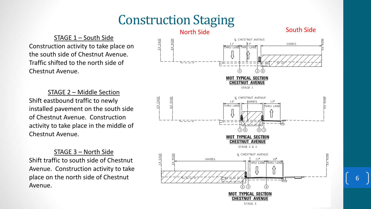### Construction Staging

#### STAGE 1 – South Side Construction activity to take place on the south side of Chestnut Avenue. Traffic shifted to the north side of Chestnut Avenue.

STAGE 2 – Middle Section Shift eastbound traffic to newly installed pavement on the south side of Chestnut Avenue. Construction activity to take place in the middle of Chestnut Avenue.

STAGE 3 – North Side Shift traffic to south side of Chestnut Avenue. Construction activity to take place on the north side of Chestnut Avenue.

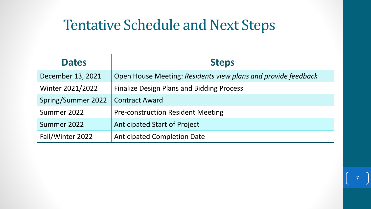### Tentative Schedule and Next Steps

| <b>Dates</b>       | <b>Steps</b>                                                  |
|--------------------|---------------------------------------------------------------|
| December 13, 2021  | Open House Meeting: Residents view plans and provide feedback |
| Winter 2021/2022   | <b>Finalize Design Plans and Bidding Process</b>              |
| Spring/Summer 2022 | <b>Contract Award</b>                                         |
| Summer 2022        | <b>Pre-construction Resident Meeting</b>                      |
| Summer 2022        | <b>Anticipated Start of Project</b>                           |
| Fall/Winter 2022   | <b>Anticipated Completion Date</b>                            |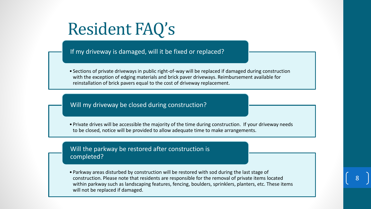## Resident FAQ's

If my driveway is damaged, will it be fixed or replaced?

• Sections of private driveways in public right-of-way will be replaced if damaged during construction with the exception of edging materials and brick paver driveways. Reimbursement available for reinstallation of brick pavers equal to the cost of driveway replacement.

#### Will my driveway be closed during construction?

• Private drives will be accessible the majority of the time during construction. If your driveway needs to be closed, notice will be provided to allow adequate time to make arrangements.

#### Will the parkway be restored after construction is completed?

• Parkway areas disturbed by construction will be restored with sod during the last stage of construction. Please note that residents are responsible for the removal of private items located within parkway such as landscaping features, fencing, boulders, sprinklers, planters, etc. These items will not be replaced if damaged.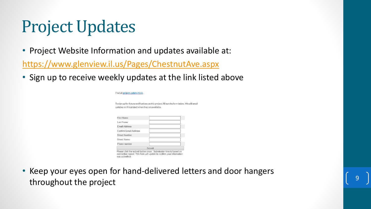## Project Updates

• Project Website Information and updates available at:

<https://www.glenview.il.us/Pages/ChestnutAve.aspx>

• Sign up to receive weekly updates at the link listed above

| Find all project updates here.                   |                                                                                                                                         |
|--------------------------------------------------|-----------------------------------------------------------------------------------------------------------------------------------------|
| updates on this project when they are available. | To sign up for future notifications on this project, fill out the form below. We will email                                             |
| <b>First Name</b>                                |                                                                                                                                         |
| Last Name                                        |                                                                                                                                         |
| <b>Fmail Address</b>                             |                                                                                                                                         |
| Confirm Email Address                            |                                                                                                                                         |
| <b>Street Number</b>                             |                                                                                                                                         |
| <b>Street Name</b>                               |                                                                                                                                         |
| Phone number                                     |                                                                                                                                         |
|                                                  | <b>Submit</b>                                                                                                                           |
| was submitted                                    | Please click the submit button once. Submission time is based on<br>connection speed. This form will update to confirm your information |

• Keep your eyes open for hand-delivered letters and door hangers throughout the project <sup>9</sup>